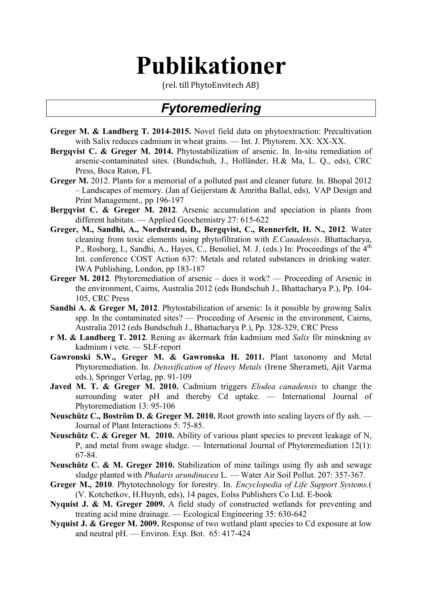# **Publikationer**

(rel. till PhytoEnvitech AB)

# *Fytoremediering*

- **Greger M. & Landberg T. 2014-2015.** Novel field data on phytoextraction: Precultivation with Salix reduces cadmium in wheat grains. — Int. J. Phytorem. XX: XX-XX.
- **Bergqvist C. & Greger M. 2014.** Phytostabilization of arsenic. In. In-situ remediation of arsenic-contaminated sites. (Bundschuh, J., Holländer, H.& Ma, L. Q., eds), CRC Press, Boca Raton, FL
- **Greger M.** 2012. Plants for a memorial of a polluted past and cleaner future. In. Bhopal 2012 – Landscapes of memory. (Jan af Geijerstam & Amritha Ballal, eds), VAP Design and Print Management., pp 196-197
- **Bergqvist C. & Greger M. 2012**. Arsenic accumulation and speciation in plants from different habitats. — Applied Geochemistry 27: 615-622
- **Greger, M., Sandhi, A., Nordstrand, D., Bergqvist, C., Rennerfelt, H. N., 2012**. Water cleaning from toxic elements using phytofiltration with *E.Canadensis*. Bhattacharya, P., Rosborg, I., Sandhi, A., Hayes, C., Benoliel, M. J. (eds.) In: Proceedings of the 4<sup>th</sup> Int. conference COST Action 637: Metals and related substances in drinking water. IWA Publishing, London, pp 183-187
- **Greger M. 2012**. Phytoremediation of arsenic does it work? Proceeding of Arsenic in the environment, Cairns, Australia 2012 (eds Bundschuh J., Bhattacharya P.), Pp. 104- 105, CRC Press
- **Sandhi A. & Greger M, 2012**. Phytostabilization of arsenic: Is it possible by growing Salix spp. In the contaminated sites? — Proceeding of Arsenic in the environment, Cairns, Australia 2012 (eds Bundschuh J., Bhattacharya P.), Pp. 328-329, CRC Press
- **r M. & Landberg T. 2012**. Rening av åkermark från kadmium med *Salix* för minskning av kadmium i vete. — SLF-report
- **Gawronski S.W., Greger M. & Gawronska H. 2011.** Plant taxonomy and Metal Phytoremediation. In. *Detoxification of Heavy Metals* (Irene Sherameti, Ajit Varma eds.), Springer Verlag, pp. 91-109
- **Javed M. T. & Greger M. 2010.** Cadmium triggers *Elodea canadensis* to change the surrounding water pH and thereby Cd uptake. — International Journal of Phytoremediation 13: 95-106
- **Neuschütz C., Boström D. & Greger M. 2010.** Root growth into sealing layers of fly ash. Journal of Plant Interactions 5: 75-85.
- **Neuschütz C. & Greger M. 2010.** Ability of various plant species to prevent leakage of N, P, and metal from swage sludge. — International Journal of Phytoremediation 12(1): 67-84.
- **Neuschütz C. & M. Greger 2010.** Stabilization of mine tailings using fly ash and sewage sludge planted with *Phalaris arundinacea* L. — Water Air Soil Pollut. 207: 357-367.
- **Greger M., 2010**. Phytotechnology for forestry. In. *Encyclopedia of Life Support Systems.*( (V. Kotchetkov, H.Huynh, eds), 14 pages, Eolss Publishers Co Ltd. E-book
- **Nyquist J. & M. Greger 2009.** A field study of constructed wetlands for preventing and treating acid mine drainage. — Ecological Engineering 35: 630-642
- **Nyquist J. & Greger M. 2009.** Response of two wetland plant species to Cd exposure at low and neutral pH. — Environ. Exp. Bot. 65: 417-424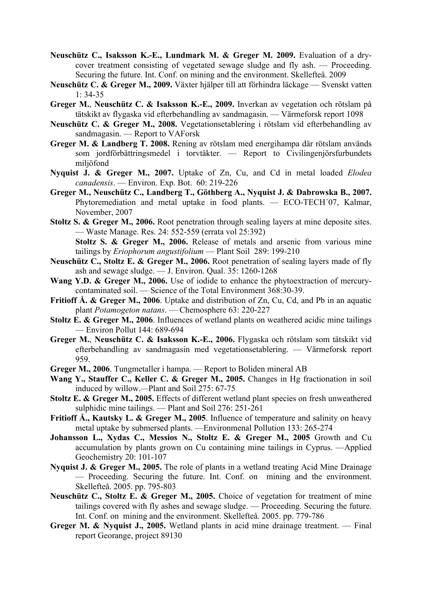- **Neuschütz C., Isaksson K.-E., Lundmark M. & Greger M. 2009.** Evaluation of a drycover treatment consisting of vegetated sewage sludge and fly ash. — Proceeding. Securing the future. Int. Conf. on mining and the environment. Skellefteå. 2009
- **Neuschütz C. & Greger M., 2009.** Växter hjälper till att förhindra läckage Svenskt vatten 1: 34-35
- **Greger M.**, **Neuschütz C. & Isaksson K.-E., 2009.** Inverkan av vegetation och rötslam på tätskikt av flygaska vid efterbehandling av sandmagasin. — Värmeforsk report 1098
- **Neuschütz C. & Greger M., 2008.** Vegetationsetablering i rötslam vid efterbehandling av sandmagasin. — Report to VAForsk
- **Greger M. & Landberg T. 2008.** Rening av rötslam med energihampa där rötslam används som jordförbättringsmedel i torvtäkter. — Report to Civilingenjörsfurbundets miljöfond
- **Nyquist J. & Greger M., 2007.** Uptake of Zn, Cu, and Cd in metal loaded *Elodea canadensis*. — Environ. Exp. Bot. 60: 219-226
- **Greger M., Neuschütz C., Landberg T., Göthberg A., Nyquist J. & Dabrowska B., 2007.**  Phytoremediation and metal uptake in food plants. — ECO-TECH´07, Kalmar, November, 2007
- **Stoltz S. & Greger M., 2006.** Root penetration through sealing layers at mine deposite sites. — Waste Manage. Res. 24: 552-559 (errata vol 25:392)

**Stoltz S. & Greger M., 2006.** Release of metals and arsenic from various mine tailings by *Eriophorum angustifolium* — Plant Soil 289: 199-210

- **Neuschütz C., Stoltz E. & Greger M., 2006.** Root penetration of sealing layers made of fly ash and sewage sludge.  $-$  J. Environ. Qual. 35: 1260-1268
- **Wang Y.D. & Greger M., 2006.** Use of iodide to enhance the phytoextraction of mercurycontaminated soil. — Science of the Total Environment 368:30-39.
- **Fritioff Å. & Greger M., 2006**. Uptake and distribution of Zn, Cu, Cd, and Pb in an aquatic plant *Potamogeton natans*. — Chemosphere 63: 220-227
- **Stoltz E. & Greger M., 2006**. Influences of wetland plants on weathered acidic mine tailings — Environ Pollut 144: 689-694
- **Greger M.**, **Neuschütz C. & Isaksson K.-E., 2006.** Flygaska och rötslam som tätskikt vid efterbehandling av sandmagasin med vegetationsetablering. — Värmeforsk report 959.
- **Greger M., 2006**. Tungmetaller i hampa. Report to Boliden mineral AB
- **Wang Y., Stauffer C., Keller C. & Greger M., 2005.** Changes in Hg fractionation in soil induced by willow.*—*Plant and Soil 275: 67-75
- **Stoltz E. & Greger M., 2005.** Effects of different wetland plant species on fresh unweathered sulphidic mine tailings. — Plant and Soil 276: 251-261
- **Fritioff Å., Kautsky L. & Greger M., 2005**. Influence of temperature and salinity on heavy metal uptake by submersed plants. —Environmenal Pollution 133: 265-274
- **Johansson L., Xydas C., Messios N., Stoltz E. & Greger M., 2005** Growth and Cu accumulation by plants grown on Cu containing mine tailings in Cyprus. —Applied Geochemistry 20: 101-107
- **Nyquist J. & Greger M., 2005.** The role of plants in a wetland treating Acid Mine Drainage — Proceeding. Securing the future. Int. Conf. on mining and the environment. Skellefteå. 2005. pp. 795-803
- **Neuschütz C., Stoltz E. & Greger M., 2005.** Choice of vegetation for treatment of mine tailings covered with fly ashes and sewage sludge. — Proceeding. Securing the future. Int. Conf. on mining and the environment. Skellefteå. 2005. pp. 779-786
- **Greger M. & Nyquist J., 2005.** Wetland plants in acid mine drainage treatment. Final report Georange, project 89130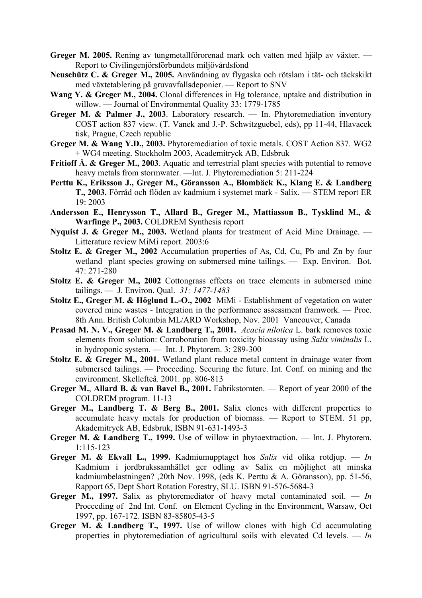**Greger M. 2005.** Rening av tungmetallförorenad mark och vatten med hjälp av växter. — Report to Civilingenjörsförbundets miljövårdsfond

- **Neuschütz C. & Greger M., 2005.** Användning av flygaska och rötslam i tät- och täckskikt med växtetablering på gruvavfallsdeponier. — Report to SNV
- Wang Y. & Greger M., 2004. Clonal differences in Hg tolerance, uptake and distribution in willow. — Journal of Environmental Quality 33: 1779-1785
- **Greger M. & Palmer J., 2003**. Laboratory research. In. Phytoremediation inventory COST action 837 view. (T. Vanek and J.-P. Schwitzguebel, eds), pp 11-44, Hlavacek tisk, Prague, Czech republic
- **Greger M. & Wang Y.D., 2003.** Phytoremediation of toxic metals. COST Action 837. WG2 + WG4 meeting. Stockholm 2003, Academitryck AB, Edsbruk
- **Fritioff Å. & Greger M., 2003**. Aquatic and terrestrial plant species with potential to remove heavy metals from stormwater. —Int. J. Phytoremediation 5: 211-224
- **Perttu K., Eriksson J., Greger M., Göransson A., Blombäck K., Klang E. & Landberg T., 2003.** Förråd och flöden av kadmium i systemet mark - Salix. — STEM report ER 19: 2003
- **Andersson E., Henrysson T., Allard B., Greger M., Mattiasson B., Tysklind M., & Warfinge P., 2003.** COLDREM Synthesis report
- **Nyquist J. & Greger M., 2003.** Wetland plants for treatment of Acid Mine Drainage. Litterature review MiMi report. 2003:6
- **Stoltz E. & Greger M., 2002** Accumulation properties of As, Cd, Cu, Pb and Zn by four wetland plant species growing on submersed mine tailings. — Exp. Environ. Bot. 47: 271-280
- **Stoltz E. & Greger M., 2002** Cottongrass effects on trace elements in submersed mine tailings. — J. Environ. Qual. *31: 1477-1483*
- **Stoltz E., Greger M. & Höglund L.-O., 2002** MiMi Establishment of vegetation on water covered mine wastes - Integration in the performance assessment framwork. — Proc. 8th Ann. British Columbia ML/ARD Workshop, Nov. 2001 Vancouver, Canada
- **Prasad M. N. V., Greger M. & Landberg T., 2001.** *Acacia nilotica* L. bark removes toxic elements from solution: Corroboration from toxicity bioassay using *Salix viminalis* L. in hydroponic system. — Int. J. Phytorem. 3: 289-300
- **Stoltz E. & Greger M., 2001.** Wetland plant reduce metal content in drainage water from submersed tailings. — Proceeding. Securing the future. Int. Conf. on mining and the environment. Skellefteå. 2001. pp. 806-813
- **Greger M.**, **Allard B. & van Bavel B., 2001.** Fabrikstomten. Report of year 2000 of the COLDREM program. 11-13
- **Greger M., Landberg T. & Berg B., 2001.** Salix clones with different properties to accumulate heavy metals for production of biomass. — Report to STEM. 51 pp, Akademitryck AB, Edsbruk, ISBN 91-631-1493-3
- **Greger M. & Landberg T., 1999.** Use of willow in phytoextraction. Int. J. Phytorem. 1:115-123
- **Greger M. & Ekvall L., 1999.** Kadmiumupptaget hos *Salix* vid olika rotdjup. *In* Kadmium i jordbrukssamhället ger odling av Salix en möjlighet att minska kadmiumbelastningen? ,20th Nov. 1998, (eds K. Perttu & A. Göransson), pp. 51-56, Rapport 65, Dept Short Rotation Forestry, SLU. ISBN 91-576-5684-3
- **Greger M., 1997.** Salix as phytoremediator of heavy metal contaminated soil. *In*  Proceeding of 2nd Int. Conf. on Element Cycling in the Environment, Warsaw, Oct 1997, pp. 167-172. ISBN 83-85805-43-5
- **Greger M. & Landberg T., 1997.** Use of willow clones with high Cd accumulating properties in phytoremediation of agricultural soils with elevated Cd levels. — *In*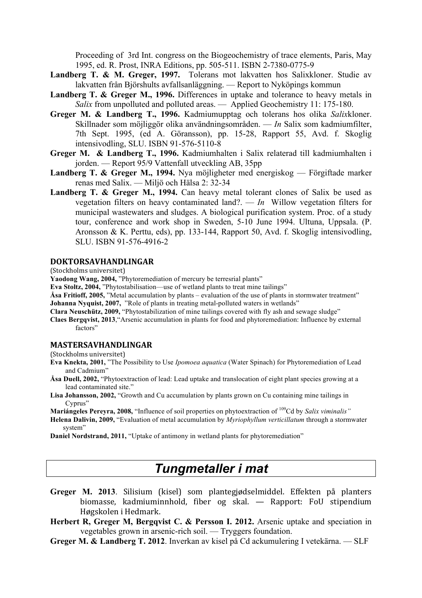Proceeding of 3rd Int. congress on the Biogeochemistry of trace elements, Paris, May 1995, ed. R. Prost, INRA Editions, pp. 505-511. ISBN 2-7380-0775-9

- **Landberg T. & M. Greger, 1997.** Tolerans mot lakvatten hos Salixkloner. Studie av lakvatten från Björshults avfallsanläggning. — Report to Nyköpings kommun
- Landberg T. & Greger M., 1996. Differences in uptake and tolerance to heavy metals in *Salix* from unpolluted and polluted areas. — Applied Geochemistry 11: 175-180.
- **Greger M. & Landberg T., 1996.** Kadmiumupptag och tolerans hos olika *Salix*kloner. Skillnader som möjliggör olika användningsområden. — *In* Salix som kadmiumfilter, 7th Sept. 1995, (ed A. Göransson), pp. 15-28, Rapport 55, Avd. f. Skoglig intensivodling, SLU. ISBN 91-576-5110-8
- **Greger M. & Landberg T., 1996.** Kadmiumhalten i Salix relaterad till kadmiumhalten i jorden. — Report 95/9 Vattenfall utveckling AB, 35pp
- **Landberg T. & Greger M., 1994.** Nya möjligheter med energiskog Förgiftade marker renas med Salix. — Miljö och Hälsa 2: 32-34
- Landberg T. & Greger M., 1994. Can heavy metal tolerant clones of Salix be used as vegetation filters on heavy contaminated land?. — *In* Willow vegetation filters for municipal wastewaters and sludges. A biological purification system. Proc. of a study tour, conference and work shop in Sweden, 5-10 June 1994. Ultuna, Uppsala. (P. Aronsson & K. Perttu, eds), pp. 133-144, Rapport 50, Avd. f. Skoglig intensivodling, SLU. ISBN 91-576-4916-2

#### **DOKTORSAVHANDLINGAR**

(Stockholms universitet)

**Yaodong Wang, 2004,** "Phytoremediation of mercury be terresrial plants"

- **Eva Stoltz, 2004,** "Phytostabilisation—use of wetland plants to treat mine tailings"
- **Åsa Fritioff, 2005,** "Metal accumulation by plants evaluation of the use of plants in stormwater treatment" **Johanna Nyquist, 2007,** "Role of plants in treating metal-polluted waters in wetlands"
- **Clara Neuschütz, 2009,** "Phytostabilization of mine tailings covered with fly ash and sewage sludge"
- **Claes Bergqvist, 2013**,"Arsenic accumulation in plants for food and phytoremediation: Influence by external factors"

## **MASTERSAVHANDLINGAR**

(Stockholms universitet)

- **Eva Knekta, 2001,** "The Possibility to Use *Ipomoea aquatica* (Water Spinach) for Phytoremediation of Lead and Cadmium"
- **Åsa Duell, 2002,** "Phytoextraction of lead: Lead uptake and translocation of eight plant species growing at a lead contaminated site."
- **Lisa Johansson, 2002,** "Growth and Cu accumulation by plants grown on Cu containing mine tailings in Cyprus"

**Mariángeles Pereyra, 2008,** "Influence of soil properties on phytoextraction of 109Cd by *Salix viminalis"*

**Helena Dalivin, 2009,** "Evaluation of metal accumulation by *Myriophyllum verticillatum* through a stormwater system"

**Daniel Nordstrand, 2011, "Uptake of antimony in wetland plants for phytoremediation"** 

# *Tungmetaller i mat*

- **Greger M. 2013**. Silisium (kisel) som plantegjødselmiddel. Effekten på planters biomasse, kadmiuminnhold, fiber og skal. — Rapport: FoU stipendium Høgskolen i Hedmark.
- **Herbert R, Greger M, Bergqvist C. & Persson I. 2012.** Arsenic uptake and speciation in vegetables grown in arsenic-rich soil. — Tryggers foundation.
- **Greger M. & Landberg T. 2012**. Inverkan av kisel på Cd ackumulering I vetekärna. SLF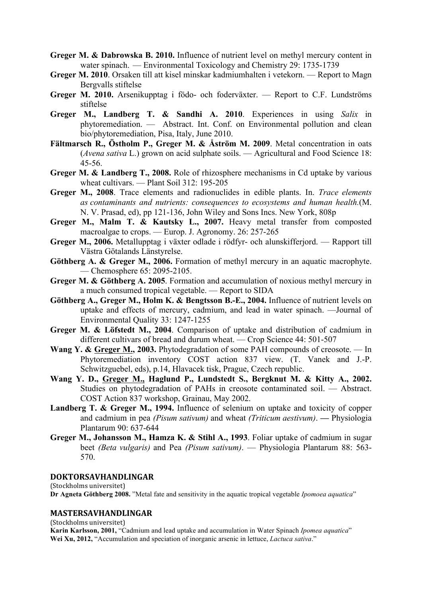- **Greger M. & Dabrowska B. 2010.** Influence of nutrient level on methyl mercury content in water spinach. — Environmental Toxicology and Chemistry 29: 1735-1739
- **Greger M. 2010**. Orsaken till att kisel minskar kadmiumhalten i vetekorn. Report to Magn Bergvalls stiftelse
- **Greger M. 2010.** Arsenikupptag i födo- och foderväxter. Report to C.F. Lundströms stiftelse
- **Greger M., Landberg T. & Sandhi A. 2010**. Experiences in using *Salix* in phytoremediation. — Abstract. Int. Conf. on Environmental pollution and clean bio/phytoremediation, Pisa, Italy, June 2010.
- **Fältmarsch R., Östholm P., Greger M. & Åström M. 2009**. Metal concentration in oats (*Avena sativa* L.) grown on acid sulphate soils. — Agricultural and Food Science 18: 45-56.
- **Greger M. & Landberg T., 2008.** Role of rhizosphere mechanisms in Cd uptake by various wheat cultivars. — Plant Soil 312: 195-205
- **Greger M., 2008**. Trace elements and radionuclides in edible plants. In. *Trace elements as contaminants and nutrients: consequences to ecosystems and human health.*(M. N. V. Prasad, ed), pp 121-136, John Wiley and Sons Incs. New York, 808p
- **Greger M., Malm T. & Kautsky L., 2007.** Heavy metal transfer from composted macroalgae to crops. — Europ. J. Agronomy. 26: 257-265
- **Greger M., 2006.** Metallupptag i växter odlade i rödfyr- och alunskifferjord. Rapport till Västra Götalands Länstyrelse.
- **Göthberg A. & Greger M., 2006.** Formation of methyl mercury in an aquatic macrophyte. — Chemosphere 65: 2095-2105.
- **Greger M. & Göthberg A. 2005**. Formation and accumulation of noxious methyl mercury in a much consumed tropical vegetable. — Report to SIDA
- **Göthberg A., Greger M., Holm K. & Bengtsson B.-E., 2004.** Influence of nutrient levels on uptake and effects of mercury, cadmium, and lead in water spinach. —Journal of Environmental Quality 33: 1247-1255
- **Greger M. & Löfstedt M., 2004**. Comparison of uptake and distribution of cadmium in different cultivars of bread and durum wheat. — Crop Science 44: 501-507
- **Wang Y. & Greger M., 2003.** Phytodegradation of some PAH compounds of creosote. In Phytoremediation inventory COST action 837 view. (T. Vanek and J.-P. Schwitzguebel, eds), p.14, Hlavacek tisk, Prague, Czech republic.
- **Wang Y. D., Greger M., Haglund P., Lundstedt S., Bergknut M. & Kitty A., 2002.** Studies on phytodegradation of PAHs in creosote contaminated soil. — Abstract. COST Action 837 workshop, Grainau, May 2002.
- **Landberg T. & Greger M., 1994.** Influence of selenium on uptake and toxicity of copper and cadmium in pea *(Pisum sativum)* and wheat *(Triticum aestivum)*. **—** Physiologia Plantarum 90: 637-644
- **Greger M., Johansson M., Hamza K. & Stihl A., 1993**. Foliar uptake of cadmium in sugar beet *(Beta vulgaris)* and Pea *(Pisum sativum)*. — Physiologia Plantarum 88: 563- 570.

#### **DOKTORSAVHANDLINGAR**

(Stockholms universitet)

**Dr Agneta Göthberg 2008.** "Metal fate and sensitivity in the aquatic tropical vegetable *Ipomoea aquatica*"

## **MASTERSAVHANDLINGAR**

(Stockholms universitet)

**Karin Karlsson, 2001,** "Cadmium and lead uptake and accumulation in Water Spinach *Ipomea aquatica*" **Wei Xu, 2012,** "Accumulation and speciation of inorganic arsenic in lettuce, *Lactuca sativa*."